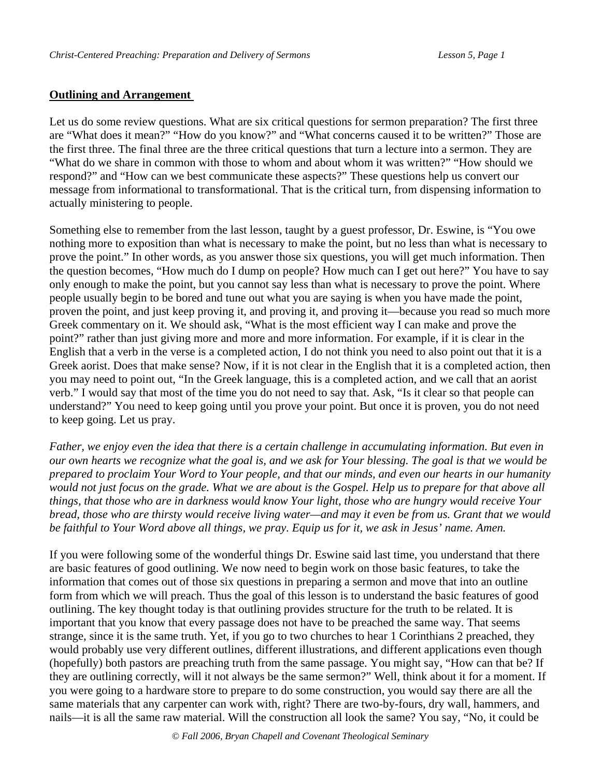## **Outlining and Arrangement**

Let us do some review questions. What are six critical questions for sermon preparation? The first three are "What does it mean?" "How do you know?" and "What concerns caused it to be written?" Those are the first three. The final three are the three critical questions that turn a lecture into a sermon. They are "What do we share in common with those to whom and about whom it was written?" "How should we respond?" and "How can we best communicate these aspects?" These questions help us convert our message from informational to transformational. That is the critical turn, from dispensing information to actually ministering to people.

Something else to remember from the last lesson, taught by a guest professor, Dr. Eswine, is "You owe nothing more to exposition than what is necessary to make the point, but no less than what is necessary to prove the point." In other words, as you answer those six questions, you will get much information. Then the question becomes, "How much do I dump on people? How much can I get out here?" You have to say only enough to make the point, but you cannot say less than what is necessary to prove the point. Where people usually begin to be bored and tune out what you are saying is when you have made the point, proven the point, and just keep proving it, and proving it, and proving it—because you read so much more Greek commentary on it. We should ask, "What is the most efficient way I can make and prove the point?" rather than just giving more and more and more information. For example, if it is clear in the English that a verb in the verse is a completed action, I do not think you need to also point out that it is a Greek aorist. Does that make sense? Now, if it is not clear in the English that it is a completed action, then you may need to point out, "In the Greek language, this is a completed action, and we call that an aorist verb." I would say that most of the time you do not need to say that. Ask, "Is it clear so that people can understand?" You need to keep going until you prove your point. But once it is proven, you do not need to keep going. Let us pray.

*Father, we enjoy even the idea that there is a certain challenge in accumulating information. But even in our own hearts we recognize what the goal is, and we ask for Your blessing. The goal is that we would be prepared to proclaim Your Word to Your people, and that our minds, and even our hearts in our humanity would not just focus on the grade. What we are about is the Gospel. Help us to prepare for that above all things, that those who are in darkness would know Your light, those who are hungry would receive Your bread, those who are thirsty would receive living water—and may it even be from us. Grant that we would be faithful to Your Word above all things, we pray. Equip us for it, we ask in Jesus' name. Amen.* 

If you were following some of the wonderful things Dr. Eswine said last time, you understand that there are basic features of good outlining. We now need to begin work on those basic features, to take the information that comes out of those six questions in preparing a sermon and move that into an outline form from which we will preach. Thus the goal of this lesson is to understand the basic features of good outlining. The key thought today is that outlining provides structure for the truth to be related. It is important that you know that every passage does not have to be preached the same way. That seems strange, since it is the same truth. Yet, if you go to two churches to hear 1 Corinthians 2 preached, they would probably use very different outlines, different illustrations, and different applications even though (hopefully) both pastors are preaching truth from the same passage. You might say, "How can that be? If they are outlining correctly, will it not always be the same sermon?" Well, think about it for a moment. If you were going to a hardware store to prepare to do some construction, you would say there are all the same materials that any carpenter can work with, right? There are two-by-fours, dry wall, hammers, and nails—it is all the same raw material. Will the construction all look the same? You say, "No, it could be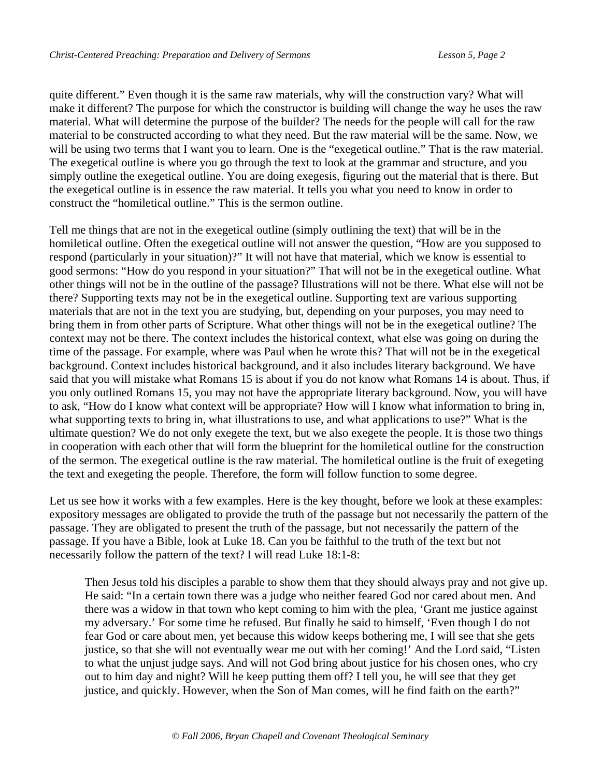quite different." Even though it is the same raw materials, why will the construction vary? What will make it different? The purpose for which the constructor is building will change the way he uses the raw material. What will determine the purpose of the builder? The needs for the people will call for the raw material to be constructed according to what they need. But the raw material will be the same. Now, we will be using two terms that I want you to learn. One is the "exegetical outline." That is the raw material. The exegetical outline is where you go through the text to look at the grammar and structure, and you simply outline the exegetical outline. You are doing exegesis, figuring out the material that is there. But the exegetical outline is in essence the raw material. It tells you what you need to know in order to construct the "homiletical outline." This is the sermon outline.

Tell me things that are not in the exegetical outline (simply outlining the text) that will be in the homiletical outline. Often the exegetical outline will not answer the question, "How are you supposed to respond (particularly in your situation)?" It will not have that material, which we know is essential to good sermons: "How do you respond in your situation?" That will not be in the exegetical outline. What other things will not be in the outline of the passage? Illustrations will not be there. What else will not be there? Supporting texts may not be in the exegetical outline. Supporting text are various supporting materials that are not in the text you are studying, but, depending on your purposes, you may need to bring them in from other parts of Scripture. What other things will not be in the exegetical outline? The context may not be there. The context includes the historical context, what else was going on during the time of the passage. For example, where was Paul when he wrote this? That will not be in the exegetical background. Context includes historical background, and it also includes literary background. We have said that you will mistake what Romans 15 is about if you do not know what Romans 14 is about. Thus, if you only outlined Romans 15, you may not have the appropriate literary background. Now, you will have to ask, "How do I know what context will be appropriate? How will I know what information to bring in, what supporting texts to bring in, what illustrations to use, and what applications to use?" What is the ultimate question? We do not only exegete the text, but we also exegete the people. It is those two things in cooperation with each other that will form the blueprint for the homiletical outline for the construction of the sermon. The exegetical outline is the raw material. The homiletical outline is the fruit of exegeting the text and exegeting the people. Therefore, the form will follow function to some degree.

Let us see how it works with a few examples. Here is the key thought, before we look at these examples: expository messages are obligated to provide the truth of the passage but not necessarily the pattern of the passage. They are obligated to present the truth of the passage, but not necessarily the pattern of the passage. If you have a Bible, look at Luke 18. Can you be faithful to the truth of the text but not necessarily follow the pattern of the text? I will read Luke 18:1-8:

Then Jesus told his disciples a parable to show them that they should always pray and not give up. He said: "In a certain town there was a judge who neither feared God nor cared about men. And there was a widow in that town who kept coming to him with the plea, 'Grant me justice against my adversary.' For some time he refused. But finally he said to himself, 'Even though I do not fear God or care about men, yet because this widow keeps bothering me, I will see that she gets justice, so that she will not eventually wear me out with her coming!' And the Lord said, "Listen to what the unjust judge says. And will not God bring about justice for his chosen ones, who cry out to him day and night? Will he keep putting them off? I tell you, he will see that they get justice, and quickly. However, when the Son of Man comes, will he find faith on the earth?"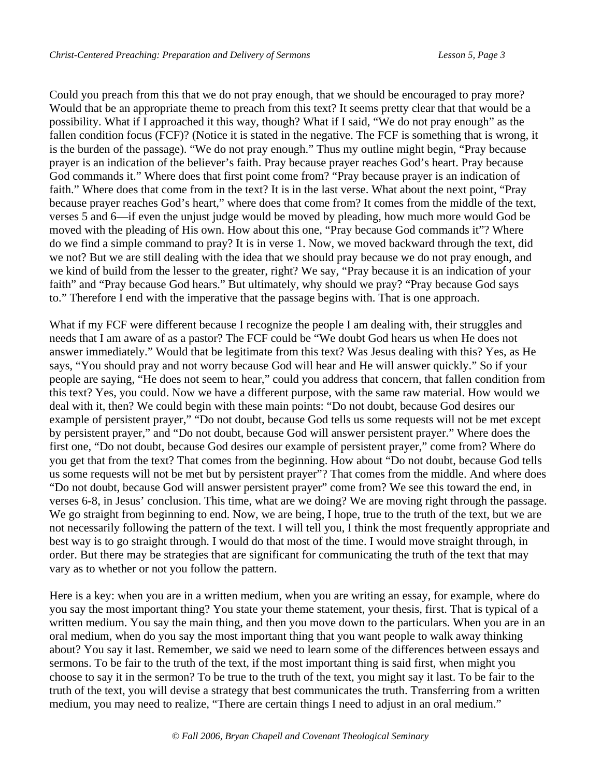Could you preach from this that we do not pray enough, that we should be encouraged to pray more? Would that be an appropriate theme to preach from this text? It seems pretty clear that that would be a possibility. What if I approached it this way, though? What if I said, "We do not pray enough" as the fallen condition focus (FCF)? (Notice it is stated in the negative. The FCF is something that is wrong, it is the burden of the passage). "We do not pray enough." Thus my outline might begin, "Pray because prayer is an indication of the believer's faith. Pray because prayer reaches God's heart. Pray because God commands it." Where does that first point come from? "Pray because prayer is an indication of faith." Where does that come from in the text? It is in the last verse. What about the next point, "Pray because prayer reaches God's heart," where does that come from? It comes from the middle of the text, verses 5 and 6—if even the unjust judge would be moved by pleading, how much more would God be moved with the pleading of His own. How about this one, "Pray because God commands it"? Where do we find a simple command to pray? It is in verse 1. Now, we moved backward through the text, did we not? But we are still dealing with the idea that we should pray because we do not pray enough, and we kind of build from the lesser to the greater, right? We say, "Pray because it is an indication of your faith" and "Pray because God hears." But ultimately, why should we pray? "Pray because God says to." Therefore I end with the imperative that the passage begins with. That is one approach.

What if my FCF were different because I recognize the people I am dealing with, their struggles and needs that I am aware of as a pastor? The FCF could be "We doubt God hears us when He does not answer immediately." Would that be legitimate from this text? Was Jesus dealing with this? Yes, as He says, "You should pray and not worry because God will hear and He will answer quickly." So if your people are saying, "He does not seem to hear," could you address that concern, that fallen condition from this text? Yes, you could. Now we have a different purpose, with the same raw material. How would we deal with it, then? We could begin with these main points: "Do not doubt, because God desires our example of persistent prayer," "Do not doubt, because God tells us some requests will not be met except by persistent prayer," and "Do not doubt, because God will answer persistent prayer." Where does the first one, "Do not doubt, because God desires our example of persistent prayer," come from? Where do you get that from the text? That comes from the beginning. How about "Do not doubt, because God tells us some requests will not be met but by persistent prayer"? That comes from the middle. And where does "Do not doubt, because God will answer persistent prayer" come from? We see this toward the end, in verses 6-8, in Jesus' conclusion. This time, what are we doing? We are moving right through the passage. We go straight from beginning to end. Now, we are being, I hope, true to the truth of the text, but we are not necessarily following the pattern of the text. I will tell you, I think the most frequently appropriate and best way is to go straight through. I would do that most of the time. I would move straight through, in order. But there may be strategies that are significant for communicating the truth of the text that may vary as to whether or not you follow the pattern.

Here is a key: when you are in a written medium, when you are writing an essay, for example, where do you say the most important thing? You state your theme statement, your thesis, first. That is typical of a written medium. You say the main thing, and then you move down to the particulars. When you are in an oral medium, when do you say the most important thing that you want people to walk away thinking about? You say it last. Remember, we said we need to learn some of the differences between essays and sermons. To be fair to the truth of the text, if the most important thing is said first, when might you choose to say it in the sermon? To be true to the truth of the text, you might say it last. To be fair to the truth of the text, you will devise a strategy that best communicates the truth. Transferring from a written medium, you may need to realize, "There are certain things I need to adjust in an oral medium."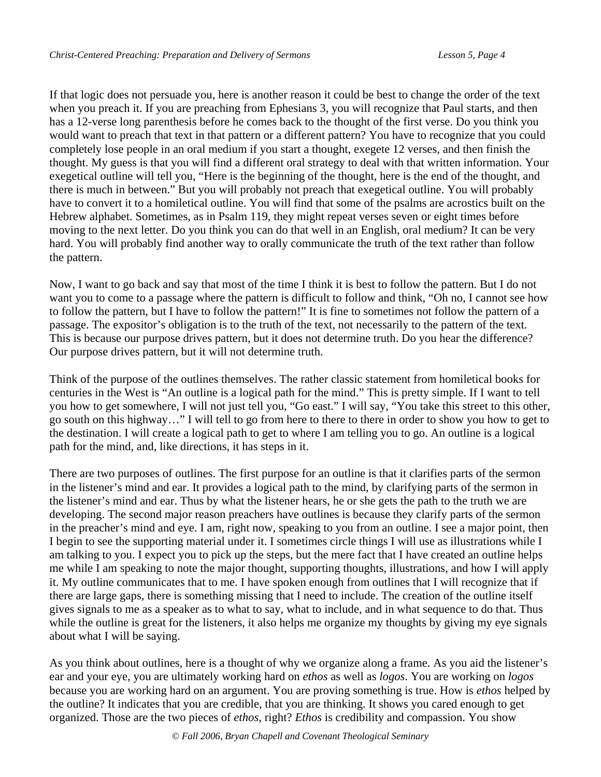If that logic does not persuade you, here is another reason it could be best to change the order of the text when you preach it. If you are preaching from Ephesians 3, you will recognize that Paul starts, and then has a 12-verse long parenthesis before he comes back to the thought of the first verse. Do you think you would want to preach that text in that pattern or a different pattern? You have to recognize that you could completely lose people in an oral medium if you start a thought, exegete 12 verses, and then finish the thought. My guess is that you will find a different oral strategy to deal with that written information. Your exegetical outline will tell you, "Here is the beginning of the thought, here is the end of the thought, and there is much in between." But you will probably not preach that exegetical outline. You will probably have to convert it to a homiletical outline. You will find that some of the psalms are acrostics built on the Hebrew alphabet. Sometimes, as in Psalm 119, they might repeat verses seven or eight times before moving to the next letter. Do you think you can do that well in an English, oral medium? It can be very hard. You will probably find another way to orally communicate the truth of the text rather than follow the pattern.

Now, I want to go back and say that most of the time I think it is best to follow the pattern. But I do not want you to come to a passage where the pattern is difficult to follow and think, "Oh no, I cannot see how to follow the pattern, but I have to follow the pattern!" It is fine to sometimes not follow the pattern of a passage. The expositor's obligation is to the truth of the text, not necessarily to the pattern of the text. This is because our purpose drives pattern, but it does not determine truth. Do you hear the difference? Our purpose drives pattern, but it will not determine truth.

Think of the purpose of the outlines themselves. The rather classic statement from homiletical books for centuries in the West is "An outline is a logical path for the mind." This is pretty simple. If I want to tell you how to get somewhere, I will not just tell you, "Go east." I will say, "You take this street to this other, go south on this highway…" I will tell to go from here to there to there in order to show you how to get to the destination. I will create a logical path to get to where I am telling you to go. An outline is a logical path for the mind, and, like directions, it has steps in it.

There are two purposes of outlines. The first purpose for an outline is that it clarifies parts of the sermon in the listener's mind and ear. It provides a logical path to the mind, by clarifying parts of the sermon in the listener's mind and ear. Thus by what the listener hears, he or she gets the path to the truth we are developing. The second major reason preachers have outlines is because they clarify parts of the sermon in the preacher's mind and eye. I am, right now, speaking to you from an outline. I see a major point, then I begin to see the supporting material under it. I sometimes circle things I will use as illustrations while I am talking to you. I expect you to pick up the steps, but the mere fact that I have created an outline helps me while I am speaking to note the major thought, supporting thoughts, illustrations, and how I will apply it. My outline communicates that to me. I have spoken enough from outlines that I will recognize that if there are large gaps, there is something missing that I need to include. The creation of the outline itself gives signals to me as a speaker as to what to say, what to include, and in what sequence to do that. Thus while the outline is great for the listeners, it also helps me organize my thoughts by giving my eye signals about what I will be saying.

As you think about outlines, here is a thought of why we organize along a frame. As you aid the listener's ear and your eye, you are ultimately working hard on *ethos* as well as *logos*. You are working on *logos*  because you are working hard on an argument. You are proving something is true. How is *ethos* helped by the outline? It indicates that you are credible, that you are thinking. It shows you cared enough to get organized. Those are the two pieces of *ethos*, right? *Ethos* is credibility and compassion. You show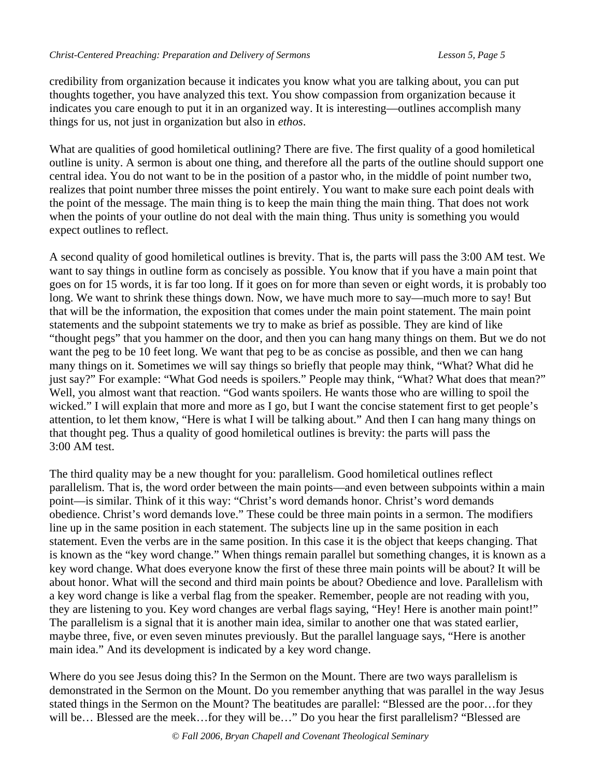credibility from organization because it indicates you know what you are talking about, you can put thoughts together, you have analyzed this text. You show compassion from organization because it indicates you care enough to put it in an organized way. It is interesting—outlines accomplish many things for us, not just in organization but also in *ethos*.

What are qualities of good homiletical outlining? There are five. The first quality of a good homiletical outline is unity. A sermon is about one thing, and therefore all the parts of the outline should support one central idea. You do not want to be in the position of a pastor who, in the middle of point number two, realizes that point number three misses the point entirely. You want to make sure each point deals with the point of the message. The main thing is to keep the main thing the main thing. That does not work when the points of your outline do not deal with the main thing. Thus unity is something you would expect outlines to reflect.

A second quality of good homiletical outlines is brevity. That is, the parts will pass the 3:00 AM test. We want to say things in outline form as concisely as possible. You know that if you have a main point that goes on for 15 words, it is far too long. If it goes on for more than seven or eight words, it is probably too long. We want to shrink these things down. Now, we have much more to say—much more to say! But that will be the information, the exposition that comes under the main point statement. The main point statements and the subpoint statements we try to make as brief as possible. They are kind of like "thought pegs" that you hammer on the door, and then you can hang many things on them. But we do not want the peg to be 10 feet long. We want that peg to be as concise as possible, and then we can hang many things on it. Sometimes we will say things so briefly that people may think, "What? What did he just say?" For example: "What God needs is spoilers." People may think, "What? What does that mean?" Well, you almost want that reaction. "God wants spoilers. He wants those who are willing to spoil the wicked." I will explain that more and more as I go, but I want the concise statement first to get people's attention, to let them know, "Here is what I will be talking about." And then I can hang many things on that thought peg. Thus a quality of good homiletical outlines is brevity: the parts will pass the 3:00 AM test.

The third quality may be a new thought for you: parallelism. Good homiletical outlines reflect parallelism. That is, the word order between the main points—and even between subpoints within a main point—is similar. Think of it this way: "Christ's word demands honor. Christ's word demands obedience. Christ's word demands love." These could be three main points in a sermon. The modifiers line up in the same position in each statement. The subjects line up in the same position in each statement. Even the verbs are in the same position. In this case it is the object that keeps changing. That is known as the "key word change." When things remain parallel but something changes, it is known as a key word change. What does everyone know the first of these three main points will be about? It will be about honor. What will the second and third main points be about? Obedience and love. Parallelism with a key word change is like a verbal flag from the speaker. Remember, people are not reading with you, they are listening to you. Key word changes are verbal flags saying, "Hey! Here is another main point!" The parallelism is a signal that it is another main idea, similar to another one that was stated earlier, maybe three, five, or even seven minutes previously. But the parallel language says, "Here is another main idea." And its development is indicated by a key word change.

Where do you see Jesus doing this? In the Sermon on the Mount. There are two ways parallelism is demonstrated in the Sermon on the Mount. Do you remember anything that was parallel in the way Jesus stated things in the Sermon on the Mount? The beatitudes are parallel: "Blessed are the poor…for they will be… Blessed are the meek…for they will be…" Do you hear the first parallelism? "Blessed are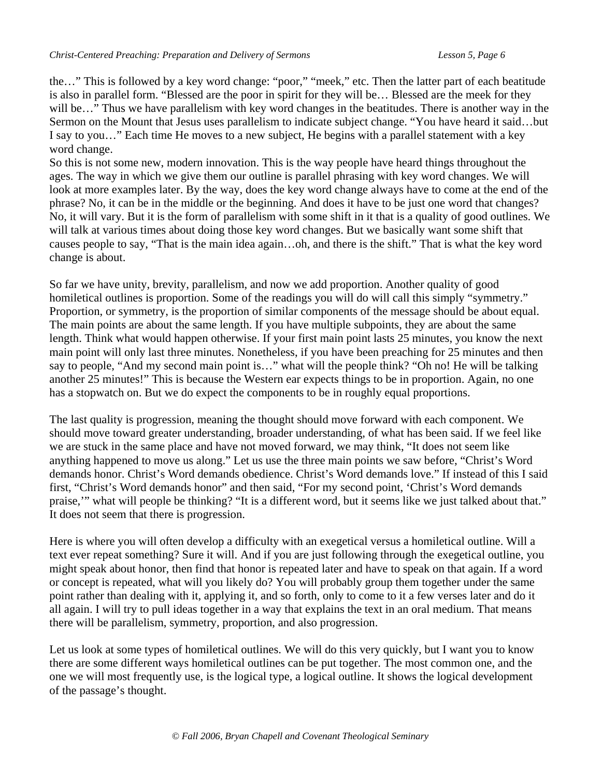the…" This is followed by a key word change: "poor," "meek," etc. Then the latter part of each beatitude is also in parallel form. "Blessed are the poor in spirit for they will be… Blessed are the meek for they will be…" Thus we have parallelism with key word changes in the beatitudes. There is another way in the Sermon on the Mount that Jesus uses parallelism to indicate subject change. "You have heard it said…but I say to you…" Each time He moves to a new subject, He begins with a parallel statement with a key word change.

So this is not some new, modern innovation. This is the way people have heard things throughout the ages. The way in which we give them our outline is parallel phrasing with key word changes. We will look at more examples later. By the way, does the key word change always have to come at the end of the phrase? No, it can be in the middle or the beginning. And does it have to be just one word that changes? No, it will vary. But it is the form of parallelism with some shift in it that is a quality of good outlines. We will talk at various times about doing those key word changes. But we basically want some shift that causes people to say, "That is the main idea again…oh, and there is the shift." That is what the key word change is about.

So far we have unity, brevity, parallelism, and now we add proportion. Another quality of good homiletical outlines is proportion. Some of the readings you will do will call this simply "symmetry." Proportion, or symmetry, is the proportion of similar components of the message should be about equal. The main points are about the same length. If you have multiple subpoints, they are about the same length. Think what would happen otherwise. If your first main point lasts 25 minutes, you know the next main point will only last three minutes. Nonetheless, if you have been preaching for 25 minutes and then say to people, "And my second main point is…" what will the people think? "Oh no! He will be talking another 25 minutes!" This is because the Western ear expects things to be in proportion. Again, no one has a stopwatch on. But we do expect the components to be in roughly equal proportions.

The last quality is progression, meaning the thought should move forward with each component. We should move toward greater understanding, broader understanding, of what has been said. If we feel like we are stuck in the same place and have not moved forward, we may think, "It does not seem like anything happened to move us along." Let us use the three main points we saw before, "Christ's Word demands honor. Christ's Word demands obedience. Christ's Word demands love." If instead of this I said first, "Christ's Word demands honor" and then said, "For my second point, 'Christ's Word demands praise,'" what will people be thinking? "It is a different word, but it seems like we just talked about that." It does not seem that there is progression.

Here is where you will often develop a difficulty with an exegetical versus a homiletical outline. Will a text ever repeat something? Sure it will. And if you are just following through the exegetical outline, you might speak about honor, then find that honor is repeated later and have to speak on that again. If a word or concept is repeated, what will you likely do? You will probably group them together under the same point rather than dealing with it, applying it, and so forth, only to come to it a few verses later and do it all again. I will try to pull ideas together in a way that explains the text in an oral medium. That means there will be parallelism, symmetry, proportion, and also progression.

Let us look at some types of homiletical outlines. We will do this very quickly, but I want you to know there are some different ways homiletical outlines can be put together. The most common one, and the one we will most frequently use, is the logical type, a logical outline. It shows the logical development of the passage's thought.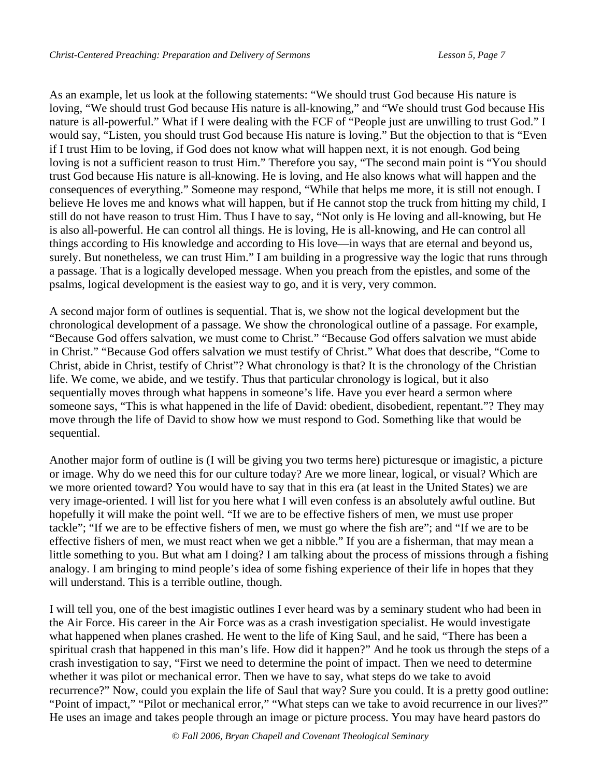As an example, let us look at the following statements: "We should trust God because His nature is loving, "We should trust God because His nature is all-knowing," and "We should trust God because His nature is all-powerful." What if I were dealing with the FCF of "People just are unwilling to trust God." I would say, "Listen, you should trust God because His nature is loving." But the objection to that is "Even if I trust Him to be loving, if God does not know what will happen next, it is not enough. God being loving is not a sufficient reason to trust Him." Therefore you say, "The second main point is "You should trust God because His nature is all-knowing. He is loving, and He also knows what will happen and the consequences of everything." Someone may respond, "While that helps me more, it is still not enough. I believe He loves me and knows what will happen, but if He cannot stop the truck from hitting my child, I still do not have reason to trust Him. Thus I have to say, "Not only is He loving and all-knowing, but He is also all-powerful. He can control all things. He is loving, He is all-knowing, and He can control all things according to His knowledge and according to His love—in ways that are eternal and beyond us, surely. But nonetheless, we can trust Him." I am building in a progressive way the logic that runs through a passage. That is a logically developed message. When you preach from the epistles, and some of the psalms, logical development is the easiest way to go, and it is very, very common.

A second major form of outlines is sequential. That is, we show not the logical development but the chronological development of a passage. We show the chronological outline of a passage. For example, "Because God offers salvation, we must come to Christ." "Because God offers salvation we must abide in Christ." "Because God offers salvation we must testify of Christ." What does that describe, "Come to Christ, abide in Christ, testify of Christ"? What chronology is that? It is the chronology of the Christian life. We come, we abide, and we testify. Thus that particular chronology is logical, but it also sequentially moves through what happens in someone's life. Have you ever heard a sermon where someone says, "This is what happened in the life of David: obedient, disobedient, repentant."? They may move through the life of David to show how we must respond to God. Something like that would be sequential.

Another major form of outline is (I will be giving you two terms here) picturesque or imagistic, a picture or image. Why do we need this for our culture today? Are we more linear, logical, or visual? Which are we more oriented toward? You would have to say that in this era (at least in the United States) we are very image-oriented. I will list for you here what I will even confess is an absolutely awful outline. But hopefully it will make the point well. "If we are to be effective fishers of men, we must use proper tackle"; "If we are to be effective fishers of men, we must go where the fish are"; and "If we are to be effective fishers of men, we must react when we get a nibble." If you are a fisherman, that may mean a little something to you. But what am I doing? I am talking about the process of missions through a fishing analogy. I am bringing to mind people's idea of some fishing experience of their life in hopes that they will understand. This is a terrible outline, though.

I will tell you, one of the best imagistic outlines I ever heard was by a seminary student who had been in the Air Force. His career in the Air Force was as a crash investigation specialist. He would investigate what happened when planes crashed. He went to the life of King Saul, and he said, "There has been a spiritual crash that happened in this man's life. How did it happen?" And he took us through the steps of a crash investigation to say, "First we need to determine the point of impact. Then we need to determine whether it was pilot or mechanical error. Then we have to say, what steps do we take to avoid recurrence?" Now, could you explain the life of Saul that way? Sure you could. It is a pretty good outline: "Point of impact," "Pilot or mechanical error," "What steps can we take to avoid recurrence in our lives?" He uses an image and takes people through an image or picture process. You may have heard pastors do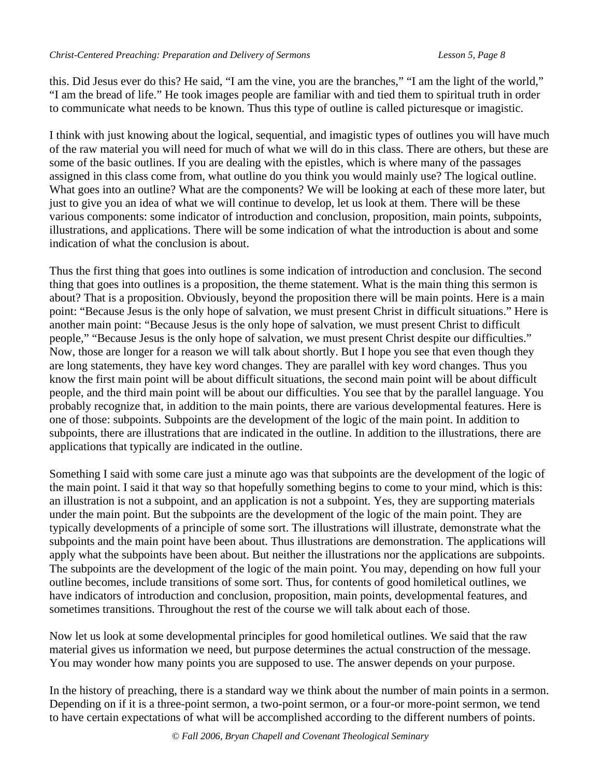this. Did Jesus ever do this? He said, "I am the vine, you are the branches," "I am the light of the world," "I am the bread of life." He took images people are familiar with and tied them to spiritual truth in order to communicate what needs to be known. Thus this type of outline is called picturesque or imagistic.

I think with just knowing about the logical, sequential, and imagistic types of outlines you will have much of the raw material you will need for much of what we will do in this class. There are others, but these are some of the basic outlines. If you are dealing with the epistles, which is where many of the passages assigned in this class come from, what outline do you think you would mainly use? The logical outline. What goes into an outline? What are the components? We will be looking at each of these more later, but just to give you an idea of what we will continue to develop, let us look at them. There will be these various components: some indicator of introduction and conclusion, proposition, main points, subpoints, illustrations, and applications. There will be some indication of what the introduction is about and some indication of what the conclusion is about.

Thus the first thing that goes into outlines is some indication of introduction and conclusion. The second thing that goes into outlines is a proposition, the theme statement. What is the main thing this sermon is about? That is a proposition. Obviously, beyond the proposition there will be main points. Here is a main point: "Because Jesus is the only hope of salvation, we must present Christ in difficult situations." Here is another main point: "Because Jesus is the only hope of salvation, we must present Christ to difficult people," "Because Jesus is the only hope of salvation, we must present Christ despite our difficulties." Now, those are longer for a reason we will talk about shortly. But I hope you see that even though they are long statements, they have key word changes. They are parallel with key word changes. Thus you know the first main point will be about difficult situations, the second main point will be about difficult people, and the third main point will be about our difficulties. You see that by the parallel language. You probably recognize that, in addition to the main points, there are various developmental features. Here is one of those: subpoints. Subpoints are the development of the logic of the main point. In addition to subpoints, there are illustrations that are indicated in the outline. In addition to the illustrations, there are applications that typically are indicated in the outline.

Something I said with some care just a minute ago was that subpoints are the development of the logic of the main point. I said it that way so that hopefully something begins to come to your mind, which is this: an illustration is not a subpoint, and an application is not a subpoint. Yes, they are supporting materials under the main point. But the subpoints are the development of the logic of the main point. They are typically developments of a principle of some sort. The illustrations will illustrate, demonstrate what the subpoints and the main point have been about. Thus illustrations are demonstration. The applications will apply what the subpoints have been about. But neither the illustrations nor the applications are subpoints. The subpoints are the development of the logic of the main point. You may, depending on how full your outline becomes, include transitions of some sort. Thus, for contents of good homiletical outlines, we have indicators of introduction and conclusion, proposition, main points, developmental features, and sometimes transitions. Throughout the rest of the course we will talk about each of those.

Now let us look at some developmental principles for good homiletical outlines. We said that the raw material gives us information we need, but purpose determines the actual construction of the message. You may wonder how many points you are supposed to use. The answer depends on your purpose.

In the history of preaching, there is a standard way we think about the number of main points in a sermon. Depending on if it is a three-point sermon, a two-point sermon, or a four-or more-point sermon, we tend to have certain expectations of what will be accomplished according to the different numbers of points.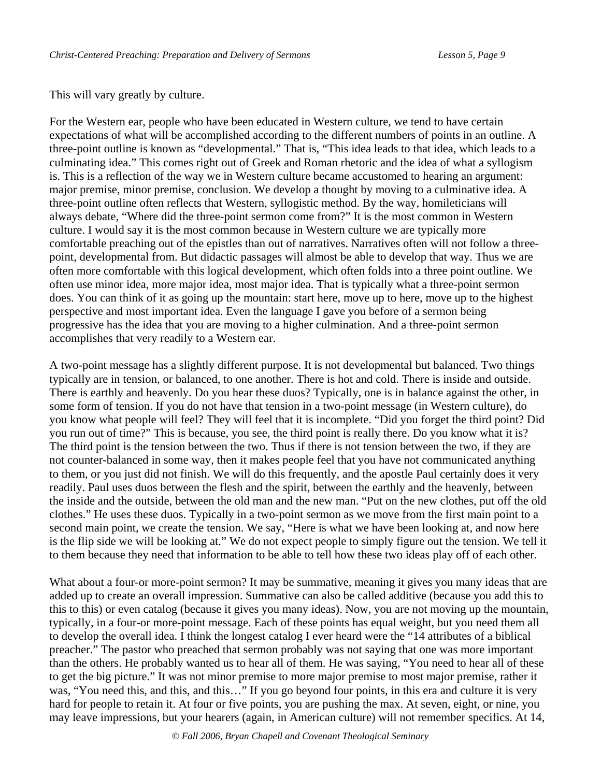This will vary greatly by culture.

For the Western ear, people who have been educated in Western culture, we tend to have certain expectations of what will be accomplished according to the different numbers of points in an outline. A three-point outline is known as "developmental." That is, "This idea leads to that idea, which leads to a culminating idea." This comes right out of Greek and Roman rhetoric and the idea of what a syllogism is. This is a reflection of the way we in Western culture became accustomed to hearing an argument: major premise, minor premise, conclusion. We develop a thought by moving to a culminative idea. A three-point outline often reflects that Western, syllogistic method. By the way, homileticians will always debate, "Where did the three-point sermon come from?" It is the most common in Western culture. I would say it is the most common because in Western culture we are typically more comfortable preaching out of the epistles than out of narratives. Narratives often will not follow a threepoint, developmental from. But didactic passages will almost be able to develop that way. Thus we are often more comfortable with this logical development, which often folds into a three point outline. We often use minor idea, more major idea, most major idea. That is typically what a three-point sermon does. You can think of it as going up the mountain: start here, move up to here, move up to the highest perspective and most important idea. Even the language I gave you before of a sermon being progressive has the idea that you are moving to a higher culmination. And a three-point sermon accomplishes that very readily to a Western ear.

A two-point message has a slightly different purpose. It is not developmental but balanced. Two things typically are in tension, or balanced, to one another. There is hot and cold. There is inside and outside. There is earthly and heavenly. Do you hear these duos? Typically, one is in balance against the other, in some form of tension. If you do not have that tension in a two-point message (in Western culture), do you know what people will feel? They will feel that it is incomplete. "Did you forget the third point? Did you run out of time?" This is because, you see, the third point is really there. Do you know what it is? The third point is the tension between the two. Thus if there is not tension between the two, if they are not counter-balanced in some way, then it makes people feel that you have not communicated anything to them, or you just did not finish. We will do this frequently, and the apostle Paul certainly does it very readily. Paul uses duos between the flesh and the spirit, between the earthly and the heavenly, between the inside and the outside, between the old man and the new man. "Put on the new clothes, put off the old clothes." He uses these duos. Typically in a two-point sermon as we move from the first main point to a second main point, we create the tension. We say, "Here is what we have been looking at, and now here is the flip side we will be looking at." We do not expect people to simply figure out the tension. We tell it to them because they need that information to be able to tell how these two ideas play off of each other.

What about a four-or more-point sermon? It may be summative, meaning it gives you many ideas that are added up to create an overall impression. Summative can also be called additive (because you add this to this to this) or even catalog (because it gives you many ideas). Now, you are not moving up the mountain, typically, in a four-or more-point message. Each of these points has equal weight, but you need them all to develop the overall idea. I think the longest catalog I ever heard were the "14 attributes of a biblical preacher." The pastor who preached that sermon probably was not saying that one was more important than the others. He probably wanted us to hear all of them. He was saying, "You need to hear all of these to get the big picture." It was not minor premise to more major premise to most major premise, rather it was, "You need this, and this, and this…" If you go beyond four points, in this era and culture it is very hard for people to retain it. At four or five points, you are pushing the max. At seven, eight, or nine, you may leave impressions, but your hearers (again, in American culture) will not remember specifics. At 14,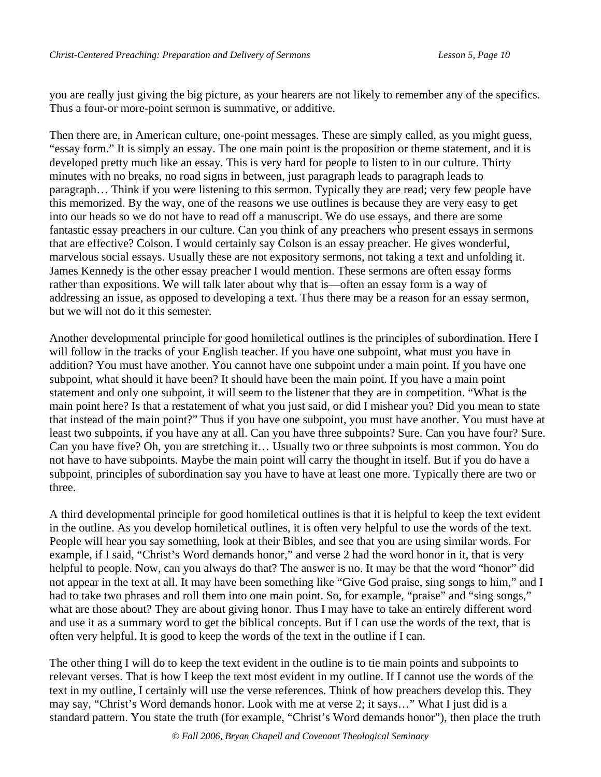you are really just giving the big picture, as your hearers are not likely to remember any of the specifics. Thus a four-or more-point sermon is summative, or additive.

Then there are, in American culture, one-point messages. These are simply called, as you might guess, "essay form." It is simply an essay. The one main point is the proposition or theme statement, and it is developed pretty much like an essay. This is very hard for people to listen to in our culture. Thirty minutes with no breaks, no road signs in between, just paragraph leads to paragraph leads to paragraph… Think if you were listening to this sermon. Typically they are read; very few people have this memorized. By the way, one of the reasons we use outlines is because they are very easy to get into our heads so we do not have to read off a manuscript. We do use essays, and there are some fantastic essay preachers in our culture. Can you think of any preachers who present essays in sermons that are effective? Colson. I would certainly say Colson is an essay preacher. He gives wonderful, marvelous social essays. Usually these are not expository sermons, not taking a text and unfolding it. James Kennedy is the other essay preacher I would mention. These sermons are often essay forms rather than expositions. We will talk later about why that is—often an essay form is a way of addressing an issue, as opposed to developing a text. Thus there may be a reason for an essay sermon, but we will not do it this semester.

Another developmental principle for good homiletical outlines is the principles of subordination. Here I will follow in the tracks of your English teacher. If you have one subpoint, what must you have in addition? You must have another. You cannot have one subpoint under a main point. If you have one subpoint, what should it have been? It should have been the main point. If you have a main point statement and only one subpoint, it will seem to the listener that they are in competition. "What is the main point here? Is that a restatement of what you just said, or did I mishear you? Did you mean to state that instead of the main point?" Thus if you have one subpoint, you must have another. You must have at least two subpoints, if you have any at all. Can you have three subpoints? Sure. Can you have four? Sure. Can you have five? Oh, you are stretching it… Usually two or three subpoints is most common. You do not have to have subpoints. Maybe the main point will carry the thought in itself. But if you do have a subpoint, principles of subordination say you have to have at least one more. Typically there are two or three.

A third developmental principle for good homiletical outlines is that it is helpful to keep the text evident in the outline. As you develop homiletical outlines, it is often very helpful to use the words of the text. People will hear you say something, look at their Bibles, and see that you are using similar words. For example, if I said, "Christ's Word demands honor," and verse 2 had the word honor in it, that is very helpful to people. Now, can you always do that? The answer is no. It may be that the word "honor" did not appear in the text at all. It may have been something like "Give God praise, sing songs to him," and I had to take two phrases and roll them into one main point. So, for example, "praise" and "sing songs," what are those about? They are about giving honor. Thus I may have to take an entirely different word and use it as a summary word to get the biblical concepts. But if I can use the words of the text, that is often very helpful. It is good to keep the words of the text in the outline if I can.

The other thing I will do to keep the text evident in the outline is to tie main points and subpoints to relevant verses. That is how I keep the text most evident in my outline. If I cannot use the words of the text in my outline, I certainly will use the verse references. Think of how preachers develop this. They may say, "Christ's Word demands honor. Look with me at verse 2; it says…" What I just did is a standard pattern. You state the truth (for example, "Christ's Word demands honor"), then place the truth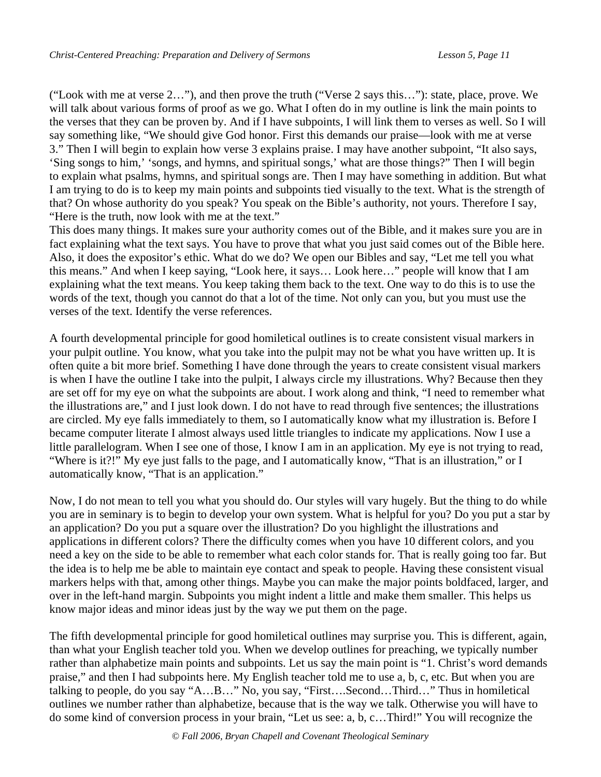("Look with me at verse 2…"), and then prove the truth ("Verse 2 says this…"): state, place, prove. We will talk about various forms of proof as we go. What I often do in my outline is link the main points to the verses that they can be proven by. And if I have subpoints, I will link them to verses as well. So I will say something like, "We should give God honor. First this demands our praise—look with me at verse 3." Then I will begin to explain how verse 3 explains praise. I may have another subpoint, "It also says, 'Sing songs to him,' 'songs, and hymns, and spiritual songs,' what are those things?" Then I will begin to explain what psalms, hymns, and spiritual songs are. Then I may have something in addition. But what I am trying to do is to keep my main points and subpoints tied visually to the text. What is the strength of that? On whose authority do you speak? You speak on the Bible's authority, not yours. Therefore I say, "Here is the truth, now look with me at the text."

This does many things. It makes sure your authority comes out of the Bible, and it makes sure you are in fact explaining what the text says. You have to prove that what you just said comes out of the Bible here. Also, it does the expositor's ethic. What do we do? We open our Bibles and say, "Let me tell you what this means." And when I keep saying, "Look here, it says… Look here…" people will know that I am explaining what the text means. You keep taking them back to the text. One way to do this is to use the words of the text, though you cannot do that a lot of the time. Not only can you, but you must use the verses of the text. Identify the verse references.

A fourth developmental principle for good homiletical outlines is to create consistent visual markers in your pulpit outline. You know, what you take into the pulpit may not be what you have written up. It is often quite a bit more brief. Something I have done through the years to create consistent visual markers is when I have the outline I take into the pulpit, I always circle my illustrations. Why? Because then they are set off for my eye on what the subpoints are about. I work along and think, "I need to remember what the illustrations are," and I just look down. I do not have to read through five sentences; the illustrations are circled. My eye falls immediately to them, so I automatically know what my illustration is. Before I became computer literate I almost always used little triangles to indicate my applications. Now I use a little parallelogram. When I see one of those, I know I am in an application. My eye is not trying to read, "Where is it?!" My eye just falls to the page, and I automatically know, "That is an illustration," or I automatically know, "That is an application."

Now, I do not mean to tell you what you should do. Our styles will vary hugely. But the thing to do while you are in seminary is to begin to develop your own system. What is helpful for you? Do you put a star by an application? Do you put a square over the illustration? Do you highlight the illustrations and applications in different colors? There the difficulty comes when you have 10 different colors, and you need a key on the side to be able to remember what each color stands for. That is really going too far. But the idea is to help me be able to maintain eye contact and speak to people. Having these consistent visual markers helps with that, among other things. Maybe you can make the major points boldfaced, larger, and over in the left-hand margin. Subpoints you might indent a little and make them smaller. This helps us know major ideas and minor ideas just by the way we put them on the page.

The fifth developmental principle for good homiletical outlines may surprise you. This is different, again, than what your English teacher told you. When we develop outlines for preaching, we typically number rather than alphabetize main points and subpoints. Let us say the main point is "1. Christ's word demands praise," and then I had subpoints here. My English teacher told me to use a, b, c, etc. But when you are talking to people, do you say "A…B…" No, you say, "First….Second…Third…" Thus in homiletical outlines we number rather than alphabetize, because that is the way we talk. Otherwise you will have to do some kind of conversion process in your brain, "Let us see: a, b, c…Third!" You will recognize the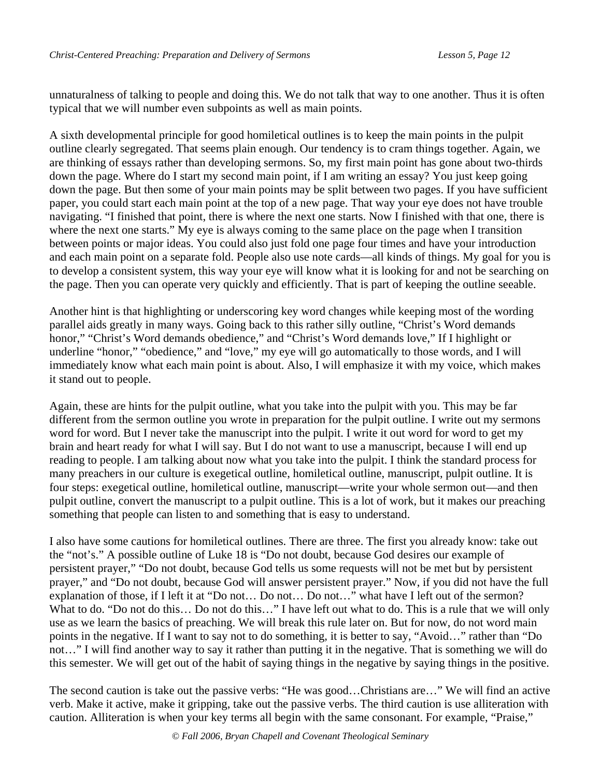unnaturalness of talking to people and doing this. We do not talk that way to one another. Thus it is often typical that we will number even subpoints as well as main points.

A sixth developmental principle for good homiletical outlines is to keep the main points in the pulpit outline clearly segregated. That seems plain enough. Our tendency is to cram things together. Again, we are thinking of essays rather than developing sermons. So, my first main point has gone about two-thirds down the page. Where do I start my second main point, if I am writing an essay? You just keep going down the page. But then some of your main points may be split between two pages. If you have sufficient paper, you could start each main point at the top of a new page. That way your eye does not have trouble navigating. "I finished that point, there is where the next one starts. Now I finished with that one, there is where the next one starts." My eye is always coming to the same place on the page when I transition between points or major ideas. You could also just fold one page four times and have your introduction and each main point on a separate fold. People also use note cards—all kinds of things. My goal for you is to develop a consistent system, this way your eye will know what it is looking for and not be searching on the page. Then you can operate very quickly and efficiently. That is part of keeping the outline seeable.

Another hint is that highlighting or underscoring key word changes while keeping most of the wording parallel aids greatly in many ways. Going back to this rather silly outline, "Christ's Word demands honor," "Christ's Word demands obedience," and "Christ's Word demands love," If I highlight or underline "honor," "obedience," and "love," my eye will go automatically to those words, and I will immediately know what each main point is about. Also, I will emphasize it with my voice, which makes it stand out to people.

Again, these are hints for the pulpit outline, what you take into the pulpit with you. This may be far different from the sermon outline you wrote in preparation for the pulpit outline. I write out my sermons word for word. But I never take the manuscript into the pulpit. I write it out word for word to get my brain and heart ready for what I will say. But I do not want to use a manuscript, because I will end up reading to people. I am talking about now what you take into the pulpit. I think the standard process for many preachers in our culture is exegetical outline, homiletical outline, manuscript, pulpit outline. It is four steps: exegetical outline, homiletical outline, manuscript—write your whole sermon out—and then pulpit outline, convert the manuscript to a pulpit outline. This is a lot of work, but it makes our preaching something that people can listen to and something that is easy to understand.

I also have some cautions for homiletical outlines. There are three. The first you already know: take out the "not's." A possible outline of Luke 18 is "Do not doubt, because God desires our example of persistent prayer," "Do not doubt, because God tells us some requests will not be met but by persistent prayer," and "Do not doubt, because God will answer persistent prayer." Now, if you did not have the full explanation of those, if I left it at "Do not… Do not… Do not…" what have I left out of the sermon? What to do. "Do not do this... Do not do this..." I have left out what to do. This is a rule that we will only use as we learn the basics of preaching. We will break this rule later on. But for now, do not word main points in the negative. If I want to say not to do something, it is better to say, "Avoid…" rather than "Do not…" I will find another way to say it rather than putting it in the negative. That is something we will do this semester. We will get out of the habit of saying things in the negative by saying things in the positive.

The second caution is take out the passive verbs: "He was good…Christians are…" We will find an active verb. Make it active, make it gripping, take out the passive verbs. The third caution is use alliteration with caution. Alliteration is when your key terms all begin with the same consonant. For example, "Praise,"